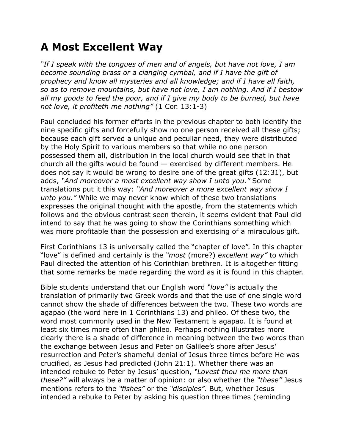## **A Most Excellent Way**

*"If I speak with the tongues of men and of angels, but have not love, I am become sounding brass or a clanging cymbal, and if I have the gift of prophecy and know all mysteries and all knowledge; and if I have all faith, so as to remove mountains, but have not love, I am nothing. And if I bestow all my goods to feed the poor, and if I give my body to be burned, but have not love, it profiteth me nothing"* (1 Cor. 13:1-3)

Paul concluded his former efforts in the previous chapter to both identify the nine specific gifts and forcefully show no one person received all these gifts; because each gift served a unique and peculiar need, they were distributed by the Holy Spirit to various members so that while no one person possessed them all, distribution in the local church would see that in that church all the gifts would be found  $-$  exercised by different members. He does not say it would be wrong to desire one of the great gifts (12:31), but adds, *"And moreover a most excellent way show I unto you."* Some translations put it this way: *"And moreover a more excellent way show I unto you."* While we may never know which of these two translations expresses the original thought with the apostle, from the statements which follows and the obvious contrast seen therein, it seems evident that Paul did intend to say that he was going to show the Corinthians something which was more profitable than the possession and exercising of a miraculous gift.

First Corinthians 13 is universally called the "chapter of love". In this chapter "love" is defined and certainly is the *"most* (more?) *excellent way"* to which Paul directed the attention of his Corinthian brethren. It is altogether fitting that some remarks be made regarding the word as it is found in this chapter.

Bible students understand that our English word *"love"* is actually the translation of primarily two Greek words and that the use of one single word cannot show the shade of differences between the two. These two words are agapao (the word here in 1 Corinthians 13) and phileo. Of these two, the word most commonly used in the New Testament is agapao. It is found at least six times more often than phileo. Perhaps nothing illustrates more clearly there is a shade of difference in meaning between the two words than the exchange between Jesus and Peter on Galilee's shore after Jesus' resurrection and Peter's shameful denial of Jesus three times before He was crucified, as Jesus had predicted (John 21:1). Whether there was an intended rebuke to Peter by Jesus' question, *"Lovest thou me more than these?"* will always be a matter of opinion: or also whether the *"these"* Jesus mentions refers to the *"fishes"* or the *"disciples"*. But, whether Jesus intended a rebuke to Peter by asking his question three times (reminding